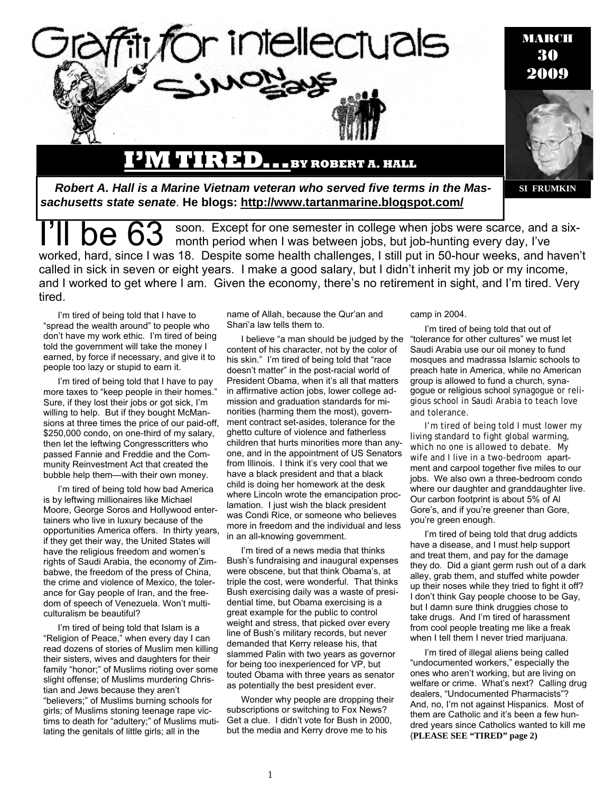

soon. Except for one semester in college when jobs were scarce, and a sixmonth period when I was between jobs, but job-hunting every day, I've worked, hard, since I was 18. Despite some health challenges, I still put in 50-hour weeks, and haven't called in sick in seven or eight years. I make a good salary, but I didn't inherit my job or my income, and I worked to get where I am. Given the economy, there's no retirement in sight, and I'm tired. Very tired.

I'm tired of being told that I have to "spread the wealth around" to people who don't have my work ethic. I'm tired of being told the government will take the money I earned, by force if necessary, and give it to people too lazy or stupid to earn it.

I'm tired of being told that I have to pay more taxes to "keep people in their homes." Sure, if they lost their jobs or got sick, I'm willing to help. But if they bought McMansions at three times the price of our paid-off, \$250,000 condo, on one-third of my salary, then let the leftwing Congresscritters who passed Fannie and Freddie and the Community Reinvestment Act that created the bubble help them—with their own money.

I'm tired of being told how bad America is by leftwing millionaires like Michael Moore, George Soros and Hollywood entertainers who live in luxury because of the opportunities America offers. In thirty years, if they get their way, the United States will have the religious freedom and women's rights of Saudi Arabia, the economy of Zimbabwe, the freedom of the press of China, the crime and violence of Mexico, the tolerance for Gay people of Iran, and the freedom of speech of Venezuela. Won't multiculturalism be beautiful?

I'm tired of being told that Islam is a "Religion of Peace," when every day I can read dozens of stories of Muslim men killing their sisters, wives and daughters for their family "honor;" of Muslims rioting over some slight offense; of Muslims murdering Christian and Jews because they aren't "believers;" of Muslims burning schools for girls; of Muslims stoning teenage rape victims to death for "adultery;" of Muslims mutilating the genitals of little girls; all in the

name of Allah, because the Qur'an and Shari'a law tells them to.

I believe "a man should be judged by the content of his character, not by the color of his skin." I'm tired of being told that "race doesn't matter" in the post-racial world of President Obama, when it's all that matters in affirmative action jobs, lower college admission and graduation standards for minorities (harming them the most), government contract set-asides, tolerance for the ghetto culture of violence and fatherless children that hurts minorities more than anyone, and in the appointment of US Senators from Illinois. I think it's very cool that we have a black president and that a black child is doing her homework at the desk where Lincoln wrote the emancipation proclamation. I just wish the black president was Condi Rice, or someone who believes more in freedom and the individual and less in an all-knowing government.

I'm tired of a news media that thinks Bush's fundraising and inaugural expenses were obscene, but that think Obama's, at triple the cost, were wonderful. That thinks Bush exercising daily was a waste of presidential time, but Obama exercising is a great example for the public to control weight and stress, that picked over every line of Bush's military records, but never demanded that Kerry release his, that slammed Palin with two years as governor for being too inexperienced for VP, but touted Obama with three years as senator as potentially the best president ever.

Wonder why people are dropping their subscriptions or switching to Fox News? Get a clue. I didn't vote for Bush in 2000, but the media and Kerry drove me to his

camp in 2004.

I'm tired of being told that out of "tolerance for other cultures" we must let Saudi Arabia use our oil money to fund mosques and madrassa Islamic schools to preach hate in America, while no American group is allowed to fund a church, synagogue or religious school synagogue or religious school in Saudi Arabia to teach love and tolerance.

I'm tired of being told I must lower my living standard to fight global warming, which no one is allowed to debate. My wife and I live in a two-bedroom apartment and carpool together five miles to our jobs. We also own a three-bedroom condo where our daughter and granddaughter live. Our carbon footprint is about 5% of Al Gore's, and if you're greener than Gore, you're green enough.

I'm tired of being told that drug addicts have a disease, and I must help support and treat them, and pay for the damage they do. Did a giant germ rush out of a dark alley, grab them, and stuffed white powder up their noses while they tried to fight it off? I don't think Gay people choose to be Gay, but I damn sure think druggies chose to take drugs. And I'm tired of harassment from cool people treating me like a freak when I tell them I never tried marijuana.

I'm tired of illegal aliens being called "undocumented workers," especially the ones who aren't working, but are living on welfare or crime. What's next? Calling drug dealers, "Undocumented Pharmacists"? And, no, I'm not against Hispanics. Most of them are Catholic and it's been a few hundred years since Catholics wanted to kill me (**PLEASE SEE "TIRED" page 2)**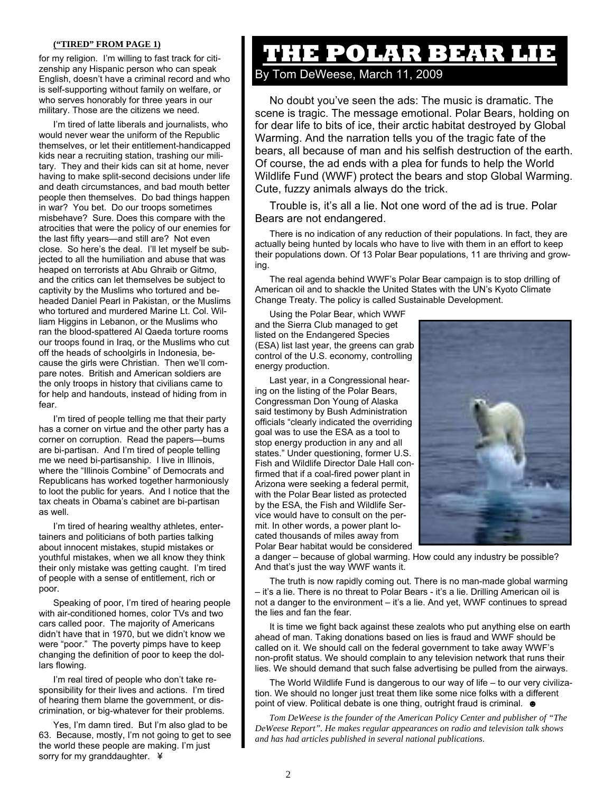## **("TIRED" FROM PAGE 1)**

for my religion. I'm willing to fast track for citizenship any Hispanic person who can speak English, doesn't have a criminal record and who is self-supporting without family on welfare, or who serves honorably for three years in our military. Those are the citizens we need.

I'm tired of latte liberals and journalists, who would never wear the uniform of the Republic themselves, or let their entitlement-handicapped kids near a recruiting station, trashing our military. They and their kids can sit at home, never having to make split-second decisions under life and death circumstances, and bad mouth better people then themselves. Do bad things happen in war? You bet. Do our troops sometimes misbehave? Sure. Does this compare with the atrocities that were the policy of our enemies for the last fifty years—and still are? Not even close. So here's the deal. I'll let myself be subjected to all the humiliation and abuse that was heaped on terrorists at Abu Ghraib or Gitmo, and the critics can let themselves be subject to captivity by the Muslims who tortured and beheaded Daniel Pearl in Pakistan, or the Muslims who tortured and murdered Marine Lt. Col. William Higgins in Lebanon, or the Muslims who ran the blood-spattered Al Qaeda torture rooms our troops found in Iraq, or the Muslims who cut off the heads of schoolgirls in Indonesia, because the girls were Christian. Then we'll compare notes. British and American soldiers are the only troops in history that civilians came to for help and handouts, instead of hiding from in fear.

I'm tired of people telling me that their party has a corner on virtue and the other party has a corner on corruption. Read the papers—bums are bi-partisan. And I'm tired of people telling me we need bi-partisanship. I live in Illinois, where the "Illinois Combine" of Democrats and Republicans has worked together harmoniously to loot the public for years. And I notice that the tax cheats in Obama's cabinet are bi-partisan as well.

I'm tired of hearing wealthy athletes, entertainers and politicians of both parties talking about innocent mistakes, stupid mistakes or youthful mistakes, when we all know they think their only mistake was getting caught. I'm tired of people with a sense of entitlement, rich or poor.

Speaking of poor, I'm tired of hearing people with air-conditioned homes, color TVs and two cars called poor. The majority of Americans didn't have that in 1970, but we didn't know we were "poor." The poverty pimps have to keep changing the definition of poor to keep the dollars flowing.

I'm real tired of people who don't take responsibility for their lives and actions. I'm tired of hearing them blame the government, or discrimination, or big-whatever for their problems.

Yes, I'm damn tired. But I'm also glad to be 63. Because, mostly, I'm not going to get to see the world these people are making. I'm just sorry for my granddaughter. \

## **THE POLAR BEAR LIE**

By Tom DeWeese, March 11, 2009

No doubt you've seen the ads: The music is dramatic. The scene is tragic. The message emotional. Polar Bears, holding on for dear life to bits of ice, their arctic habitat destroyed by Global Warming. And the narration tells you of the tragic fate of the bears, all because of man and his selfish destruction of the earth. Of course, the ad ends with a plea for funds to help the World Wildlife Fund (WWF) protect the bears and stop Global Warming. Cute, fuzzy animals always do the trick.

Trouble is, it's all a lie. Not one word of the ad is true. Polar Bears are not endangered.

There is no indication of any reduction of their populations. In fact, they are actually being hunted by locals who have to live with them in an effort to keep their populations down. Of 13 Polar Bear populations, 11 are thriving and growing.

The real agenda behind WWF's Polar Bear campaign is to stop drilling of American oil and to shackle the United States with the UN's Kyoto Climate Change Treaty. The policy is called Sustainable Development.

Using the Polar Bear, which WWF and the Sierra Club managed to get listed on the Endangered Species (ESA) list last year, the greens can grab control of the U.S. economy, controlling energy production.

Last year, in a Congressional hearing on the listing of the Polar Bears, Congressman Don Young of Alaska said testimony by Bush Administration officials "clearly indicated the overriding goal was to use the ESA as a tool to stop energy production in any and all states." Under questioning, former U.S. Fish and Wildlife Director Dale Hall confirmed that if a coal-fired power plant in Arizona were seeking a federal permit, with the Polar Bear listed as protected by the ESA, the Fish and Wildlife Service would have to consult on the permit. In other words, a power plant located thousands of miles away from Polar Bear habitat would be considered



a danger – because of global warming. How could any industry be possible? And that's just the way WWF wants it.

The truth is now rapidly coming out. There is no man-made global warming – it's a lie. There is no threat to Polar Bears - it's a lie. Drilling American oil is not a danger to the environment – it's a lie. And yet, WWF continues to spread the lies and fan the fear.

It is time we fight back against these zealots who put anything else on earth ahead of man. Taking donations based on lies is fraud and WWF should be called on it. We should call on the federal government to take away WWF's non-profit status. We should complain to any television network that runs their lies. We should demand that such false advertising be pulled from the airways.

The World Wildlife Fund is dangerous to our way of life – to our very civilization. We should no longer just treat them like some nice folks with a different point of view. Political debate is one thing, outright fraud is criminal.  $\bullet$ 

*Tom DeWeese is the founder of the American Policy Center and publisher of "The DeWeese Report". He makes regular appearances on radio and television talk shows and has had articles published in several national publications*.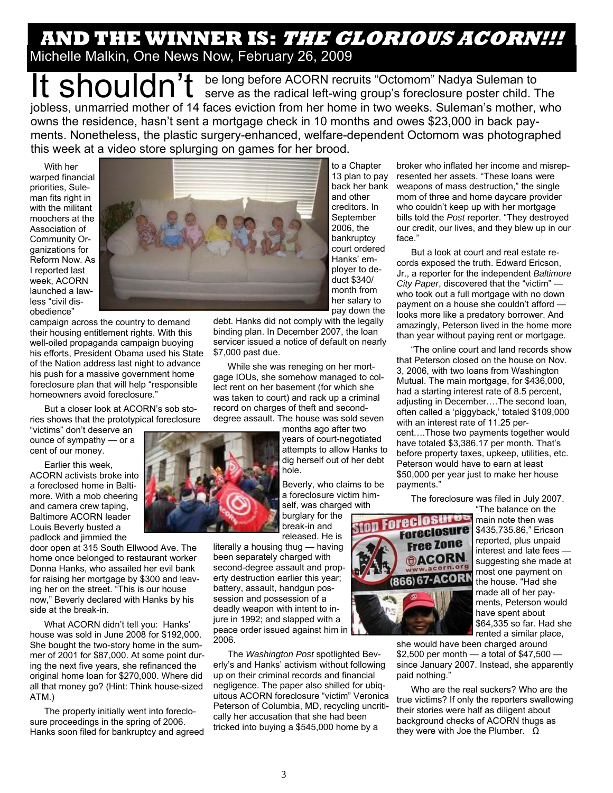## **AND THE WINNER IS: THE GLORIOUS ACORN!!!** Michelle Malkin, One News Now, February 26, 2009

It shouldn't be long before ACORN recruits "Octomom" Nadya Suleman to serve as the radical left-wing group's foreclosure poster child. The jobless, unmarried mother of 14 faces eviction from her home in two weeks. Suleman's mother, who owns the residence, hasn't sent a mortgage check in 10 months and owes \$23,000 in back payments. Nonetheless, the plastic surgery-enhanced, welfare-dependent Octomom was photographed this week at a video store splurging on games for her brood.

With her warped financial priorities, Suleman fits right in with the militant moochers at the Association of Community Organizations for Reform Now. As I reported last week, ACORN launched a lawless "civil disobedience"



campaign across the country to demand their housing entitlement rights. With this well-oiled propaganda campaign buoying his efforts, President Obama used his State of the Nation address last night to advance his push for a massive government home foreclosure plan that will help "responsible homeowners avoid foreclosure."

But a closer look at ACORN's sob stories shows that the prototypical foreclosure

"victims" don't deserve an ounce of sympathy — or a cent of our money.

Earlier this week, ACORN activists broke into a foreclosed home in Baltimore. With a mob cheering and camera crew taping, Baltimore ACORN leader Louis Beverly busted a padlock and jimmied the

door open at 315 South Ellwood Ave. The home once belonged to restaurant worker Donna Hanks, who assailed her evil bank for raising her mortgage by \$300 and leaving her on the street. "This is our house now," Beverly declared with Hanks by his side at the break-in.

What ACORN didn't tell you: Hanks' house was sold in June 2008 for \$192,000. She bought the two-story home in the summer of 2001 for \$87,000. At some point during the next five years, she refinanced the original home loan for \$270,000. Where did all that money go? (Hint: Think house-sized ATM.)

The property initially went into foreclosure proceedings in the spring of 2006. Hanks soon filed for bankruptcy and agreed

to a Chapter 13 plan to pay back her bank and other creditors. In **September** 2006, the bankruptcy court ordered Hanks' employer to deduct \$340/ month from her salary to pay down the

debt. Hanks did not comply with the legally binding plan. In December 2007, the loan servicer issued a notice of default on nearly \$7,000 past due.

While she was reneging on her mortgage IOUs, she somehow managed to collect rent on her basement (for which she was taken to court) and rack up a criminal record on charges of theft and seconddegree assault. The house was sold seven

months ago after two years of court-negotiated attempts to allow Hanks to dig herself out of her debt hole.

Beverly, who claims to be a foreclosure victim himself, was charged with burglary for the break-in and

released. He is

literally a housing thug — having been separately charged with second-degree assault and property destruction earlier this year; battery, assault, handgun possession and possession of a deadly weapon with intent to injure in 1992; and slapped with a peace order issued against him in 2006.

The *Washington Post* spotlighted Beverly's and Hanks' activism without following up on their criminal records and financial negligence. The paper also shilled for ubiquitous ACORN foreclosure "victim" Veronica Peterson of Columbia, MD, recycling uncritically her accusation that she had been tricked into buying a \$545,000 home by a

broker who inflated her income and misrepresented her assets. "These loans were weapons of mass destruction," the single mom of three and home daycare provider who couldn't keep up with her mortgage bills told the *Post* reporter. "They destroyed our credit, our lives, and they blew up in our face."

But a look at court and real estate records exposed the truth. Edward Ericson, Jr., a reporter for the independent *Baltimore City Paper*, discovered that the "victim" who took out a full mortgage with no down payment on a house she couldn't afford looks more like a predatory borrower. And amazingly, Peterson lived in the home more than year without paying rent or mortgage.

"The online court and land records show that Peterson closed on the house on Nov. 3, 2006, with two loans from Washington Mutual. The main mortgage, for \$436,000, had a starting interest rate of 8.5 percent, adjusting in December….The second loan, often called a 'piggyback,' totaled \$109,000 with an interest rate of 11.25 percent….Those two payments together would have totaled \$3,386.17 per month. That's before property taxes, upkeep, utilities, etc. Peterson would have to earn at least \$50,000 per year just to make her house payments."

The foreclosure was filed in July 2007.



"The balance on the main note then was \$435,735.86," Ericson reported, plus unpaid interest and late fees suggesting she made at most one payment on the house. "Had she made all of her payments, Peterson would have spent about \$64,335 so far. Had she rented a similar place,

she would have been charged around \$2,500 per month — a total of \$47,500 since January 2007. Instead, she apparently paid nothing.

Who are the real suckers? Who are the true victims? If only the reporters swallowing their stories were half as diligent about background checks of ACORN thugs as they were with Joe the Plumber. Ω